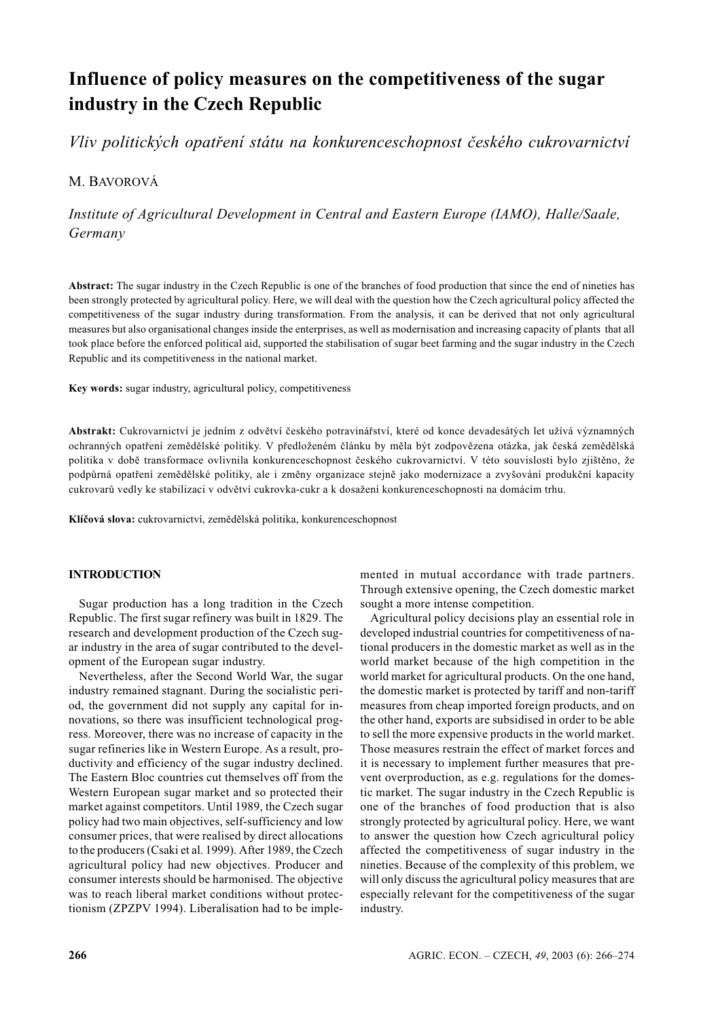# Influence of policy measures on the competitiveness of the sugar industry in the Czech Republic

Vliv politických opatření státu na konkurenceschopnost českého cukrovarnictví

# M RAVOROVÁ

Institute of Agricultural Development in Central and Eastern Europe (IAMO), Halle/Saale, Germany

Abstract: The sugar industry in the Czech Republic is one of the branches of food production that since the end of nineties has been strongly protected by agricultural policy. Here, we will deal with the question how the Czech agricultural policy affected the competitiveness of the sugar industry during transformation. From the analysis, it can be derived that not only agricultural measures but also organisational changes inside the enterprises, as well as modernisation and increasing capacity of plants that all took place before the enforced political aid, supported the stabilisation of sugar beet farming and the sugar industry in the Czech Republic and its competitiveness in the national market.

Key words: sugar industry, agricultural policy, competitiveness

Abstrakt: Cukrovarnictví je jedním z odvětví českého potravinářství, které od konce devadesátých let užívá významných ochranných opatření zemědělské politiky. V předloženém článku by měla být zodpovězena otázka, jak česká zemědělská politika v době transformace ovlivnila konkurenceschopnost českého cukrovarnictví. V této souvislosti bylo zjištěno, že podpůrná opatření zemědělské politiky, ale i změny organizace stejně jako modernizace a zvyšování produkční kapacity cukrovarů vedly ke stabilizaci v odvětví cukrovka-cukr a k dosažení konkurenceschopnosti na domácím trhu.

Klíčová slova: cukrovarnictví, zemědělská politika, konkurenceschopnost

# **INTRODUCTION**

Sugar production has a long tradition in the Czech Republic. The first sugar refinery was built in 1829. The research and development production of the Czech sugar industry in the area of sugar contributed to the development of the European sugar industry.

Nevertheless, after the Second World War, the sugar industry remained stagnant. During the socialistic period, the government did not supply any capital for innovations, so there was insufficient technological progress. Moreover, there was no increase of capacity in the sugar refineries like in Western Europe. As a result, productivity and efficiency of the sugar industry declined. The Eastern Bloc countries cut themselves off from the Western European sugar market and so protected their market against competitors. Until 1989, the Czech sugar policy had two main objectives, self-sufficiency and low consumer prices, that were realised by direct allocations to the producers (Csaki et al. 1999). After 1989, the Czech agricultural policy had new objectives. Producer and consumer interests should be harmonised. The objective was to reach liberal market conditions without protectionism (ZPZPV 1994). Liberalisation had to be implemented in mutual accordance with trade partners. Through extensive opening, the Czech domestic market sought a more intense competition.

Agricultural policy decisions play an essential role in developed industrial countries for competitiveness of national producers in the domestic market as well as in the world market because of the high competition in the world market for agricultural products. On the one hand, the domestic market is protected by tariff and non-tariff measures from cheap imported foreign products, and on the other hand, exports are subsidised in order to be able to sell the more expensive products in the world market. Those measures restrain the effect of market forces and it is necessary to implement further measures that prevent overproduction, as e.g. regulations for the domestic market. The sugar industry in the Czech Republic is one of the branches of food production that is also strongly protected by agricultural policy. Here, we want to answer the question how Czech agricultural policy affected the competitiveness of sugar industry in the nineties. Because of the complexity of this problem, we will only discuss the agricultural policy measures that are especially relevant for the competitiveness of the sugar industry.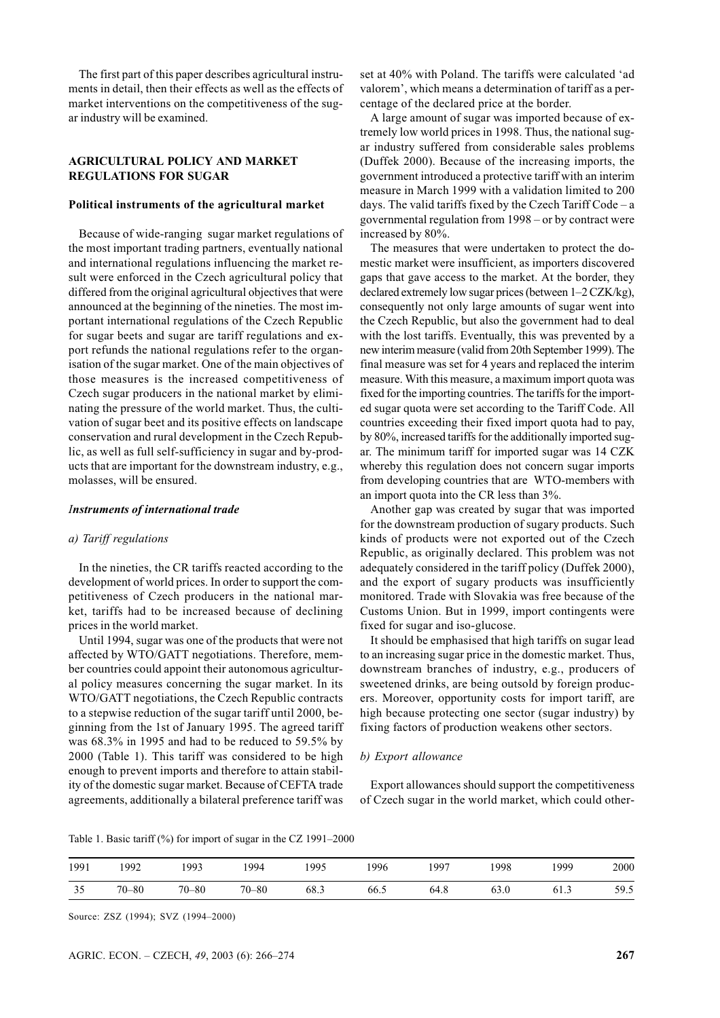The first part of this paper describes agricultural instruments in detail, then their effects as well as the effects of market interventions on the competitiveness of the sugar industry will be examined.

# **AGRICULTURAL POLICY AND MARKET REGULATIONS FOR SUGAR**

### Political instruments of the agricultural market

Because of wide-ranging sugar market regulations of the most important trading partners, eventually national and international regulations influencing the market result were enforced in the Czech agricultural policy that differed from the original agricultural objectives that were announced at the beginning of the nineties. The most important international regulations of the Czech Republic for sugar beets and sugar are tariff regulations and export refunds the national regulations refer to the organisation of the sugar market. One of the main objectives of those measures is the increased competitiveness of Czech sugar producers in the national market by eliminating the pressure of the world market. Thus, the cultivation of sugar beet and its positive effects on landscape conservation and rural development in the Czech Republic, as well as full self-sufficiency in sugar and by-products that are important for the downstream industry, e.g., molasses, will be ensured.

# **Instruments of international trade**

#### a) Tariff regulations

In the nineties, the CR tariffs reacted according to the development of world prices. In order to support the competitiveness of Czech producers in the national market, tariffs had to be increased because of declining prices in the world market.

Until 1994, sugar was one of the products that were not affected by WTO/GATT negotiations. Therefore, member countries could appoint their autonomous agricultural policy measures concerning the sugar market. In its WTO/GATT negotiations, the Czech Republic contracts to a stepwise reduction of the sugar tariff until 2000, beginning from the 1st of January 1995. The agreed tariff was 68.3% in 1995 and had to be reduced to 59.5% by 2000 (Table 1). This tariff was considered to be high enough to prevent imports and therefore to attain stability of the domestic sugar market. Because of CEFTA trade agreements, additionally a bilateral preference tariff was set at 40% with Poland. The tariffs were calculated 'ad valorem', which means a determination of tariff as a percentage of the declared price at the border.

A large amount of sugar was imported because of extremely low world prices in 1998. Thus, the national sugar industry suffered from considerable sales problems (Duffek 2000). Because of the increasing imports, the government introduced a protective tariff with an interim measure in March 1999 with a validation limited to 200 days. The valid tariffs fixed by the Czech Tariff Code  $-$  a governmental regulation from 1998 – or by contract were increased by 80%.

The measures that were undertaken to protect the domestic market were insufficient, as importers discovered gaps that gave access to the market. At the border, they declared extremely low sugar prices (between  $1-2$  CZK/kg). consequently not only large amounts of sugar went into the Czech Republic, but also the government had to deal with the lost tariffs. Eventually, this was prevented by a new interim measure (valid from 20th September 1999). The final measure was set for 4 years and replaced the interim measure. With this measure, a maximum import quota was fixed for the importing countries. The tariffs for the imported sugar quota were set according to the Tariff Code. All countries exceeding their fixed import quota had to pay, by 80%, increased tariffs for the additionally imported sugar. The minimum tariff for imported sugar was 14 CZK whereby this regulation does not concern sugar imports from developing countries that are WTO-members with an import quota into the CR less than 3%.

Another gap was created by sugar that was imported for the downstream production of sugary products. Such kinds of products were not exported out of the Czech Republic, as originally declared. This problem was not adequately considered in the tariff policy (Duffek 2000), and the export of sugary products was insufficiently monitored. Trade with Slovakia was free because of the Customs Union. But in 1999, import contingents were fixed for sugar and iso-glucose.

It should be emphasised that high tariffs on sugar lead to an increasing sugar price in the domestic market. Thus, downstream branches of industry, e.g., producers of sweetened drinks, are being outsold by foreign producers. Moreover, opportunity costs for import tariff, are high because protecting one sector (sugar industry) by fixing factors of production weakens other sectors.

#### b) Export allowance

Export allowances should support the competitiveness of Czech sugar in the world market, which could other-

Table 1. Basic tariff (%) for import of sugar in the CZ 1991-2000

| 1991 | 1992      | '993      | 1994      | 1995 | 1996 | 1997 | 1998 | 1999 | 2000 |
|------|-----------|-----------|-----------|------|------|------|------|------|------|
| 35   | $70 - 80$ | $70 - 80$ | $70 - 80$ | 68.3 | 66.5 | 64.8 | 63.0 | 61.3 | 59.5 |

Source: ZSZ (1994); SVZ (1994-2000)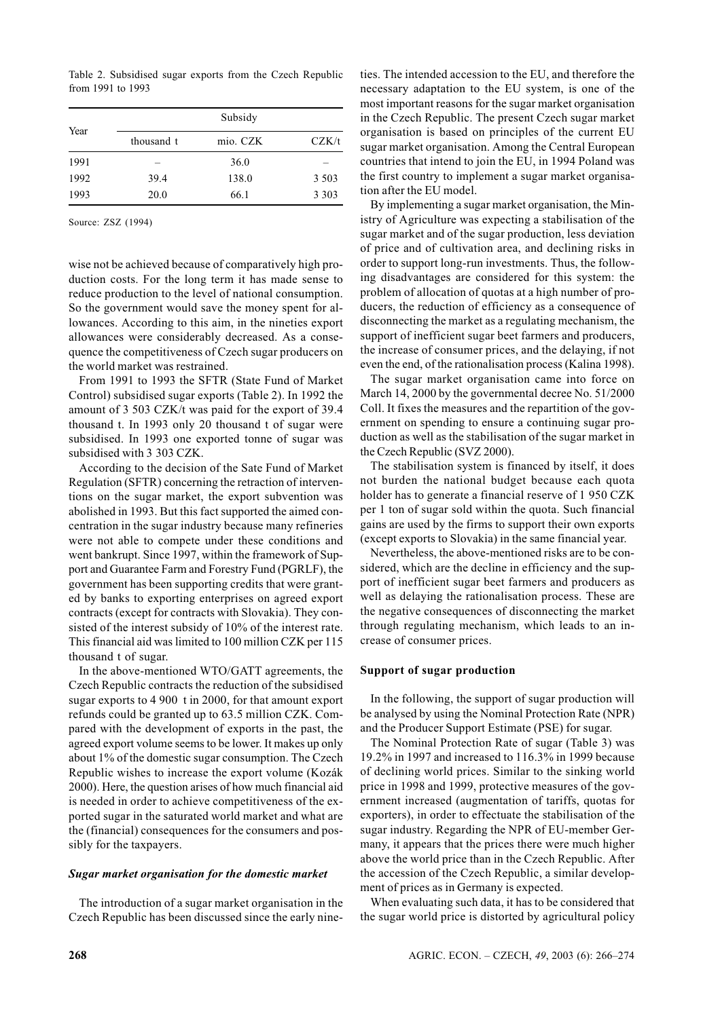Table 2. Subsidised sugar exports from the Czech Republic from 1991 to 1993

|      |            | Subsidy  |         |
|------|------------|----------|---------|
| Year | thousand t | mio. CZK | CZK/t   |
| 1991 |            | 36.0     |         |
| 1992 | 39.4       | 138.0    | 3 5 0 3 |
| 1993 | 20.0       | 66.1     | 3 3 0 3 |

Source: ZSZ (1994)

wise not be achieved because of comparatively high production costs. For the long term it has made sense to reduce production to the level of national consumption. So the government would save the money spent for allowances. According to this aim, in the nineties export allowances were considerably decreased. As a consequence the competitiveness of Czech sugar producers on the world market was restrained.

From 1991 to 1993 the SFTR (State Fund of Market Control) subsidised sugar exports (Table 2). In 1992 the amount of 3 503 CZK/t was paid for the export of 39.4 thousand t. In 1993 only 20 thousand t of sugar were subsidised. In 1993 one exported tonne of sugar was subsidised with 3 303 CZK.

According to the decision of the Sate Fund of Market Regulation (SFTR) concerning the retraction of interventions on the sugar market, the export subvention was abolished in 1993. But this fact supported the aimed concentration in the sugar industry because many refineries were not able to compete under these conditions and went bankrupt. Since 1997, within the framework of Support and Guarantee Farm and Forestry Fund (PGRLF), the government has been supporting credits that were granted by banks to exporting enterprises on agreed export contracts (except for contracts with Slovakia). They consisted of the interest subsidy of 10% of the interest rate. This financial aid was limited to 100 million CZK per 115 thousand t of sugar.

In the above-mentioned WTO/GATT agreements, the Czech Republic contracts the reduction of the subsidised sugar exports to 4 900 t in 2000, for that amount export refunds could be granted up to 63.5 million CZK. Compared with the development of exports in the past, the agreed export volume seems to be lower. It makes up only about 1% of the domestic sugar consumption. The Czech Republic wishes to increase the export volume (Kozák 2000). Here, the question arises of how much financial aid is needed in order to achieve competitiveness of the exported sugar in the saturated world market and what are the (financial) consequences for the consumers and possibly for the taxpayers.

#### Sugar market organisation for the domestic market

The introduction of a sugar market organisation in the Czech Republic has been discussed since the early nineties. The intended accession to the EU, and therefore the necessary adaptation to the EU system, is one of the most important reasons for the sugar market organisation in the Czech Republic. The present Czech sugar market organisation is based on principles of the current EU sugar market organisation. Among the Central European countries that intend to join the EU, in 1994 Poland was the first country to implement a sugar market organisation after the EU model.

By implementing a sugar market organisation, the Ministry of Agriculture was expecting a stabilisation of the sugar market and of the sugar production, less deviation of price and of cultivation area, and declining risks in order to support long-run investments. Thus, the following disadvantages are considered for this system: the problem of allocation of quotas at a high number of producers, the reduction of efficiency as a consequence of disconnecting the market as a regulating mechanism, the support of inefficient sugar beet farmers and producers, the increase of consumer prices, and the delaying, if not even the end, of the rationalisation process (Kalina 1998).

The sugar market organisation came into force on March 14, 2000 by the governmental decree No. 51/2000 Coll. It fixes the measures and the repartition of the government on spending to ensure a continuing sugar production as well as the stabilisation of the sugar market in the Czech Republic (SVZ 2000).

The stabilisation system is financed by itself, it does not burden the national budget because each quota holder has to generate a financial reserve of 1 950 CZK per 1 ton of sugar sold within the quota. Such financial gains are used by the firms to support their own exports (except exports to Slovakia) in the same financial year.

Nevertheless, the above-mentioned risks are to be considered, which are the decline in efficiency and the support of inefficient sugar beet farmers and producers as well as delaying the rationalisation process. These are the negative consequences of disconnecting the market through regulating mechanism, which leads to an increase of consumer prices.

#### **Support of sugar production**

In the following, the support of sugar production will be analysed by using the Nominal Protection Rate (NPR) and the Producer Support Estimate (PSE) for sugar.

The Nominal Protection Rate of sugar (Table 3) was 19.2% in 1997 and increased to 116.3% in 1999 because of declining world prices. Similar to the sinking world price in 1998 and 1999, protective measures of the government increased (augmentation of tariffs, quotas for exporters), in order to effectuate the stabilisation of the sugar industry. Regarding the NPR of EU-member Germany, it appears that the prices there were much higher above the world price than in the Czech Republic. After the accession of the Czech Republic, a similar development of prices as in Germany is expected.

When evaluating such data, it has to be considered that the sugar world price is distorted by agricultural policy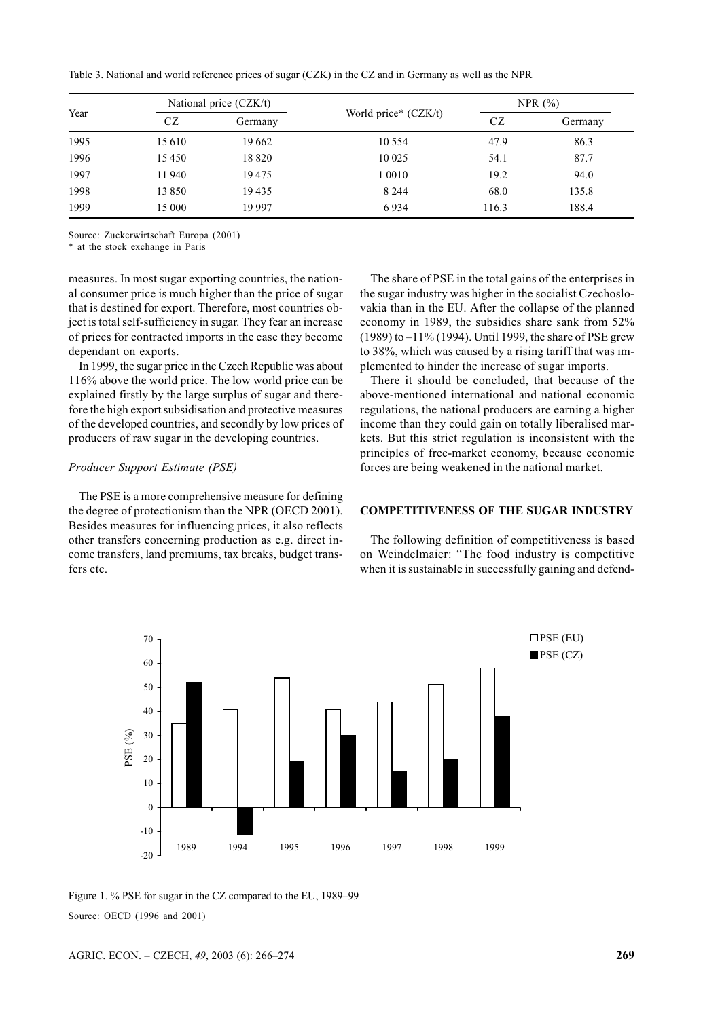|      | National price $(CZK/t)$ |         |                        |       | NPR $(%)$ |
|------|--------------------------|---------|------------------------|-------|-----------|
| Year | CZ                       | Germany | World price* $(CZK/t)$ | CZ    | Germany   |
| 1995 | 15 610                   | 19662   | 10 5 5 4               | 47.9  | 86.3      |
| 1996 | 15450                    | 18820   | 10 0 25                | 54.1  | 87.7      |
| 1997 | 11940                    | 19475   | 1 0 0 1 0              | 19.2  | 94.0      |
| 1998 | 13850                    | 19435   | 8 2 4 4                | 68.0  | 135.8     |
| 1999 | 15 000                   | 19 9 97 | 6934                   | 116.3 | 188.4     |

Table 3. National and world reference prices of sugar (CZK) in the CZ and in Germany as well as the NPR

Source: Zuckerwirtschaft Europa (2001)

\* at the stock exchange in Paris

measures. In most sugar exporting countries, the national consumer price is much higher than the price of sugar that is destined for export. Therefore, most countries object is total self-sufficiency in sugar. They fear an increase of prices for contracted imports in the case they become dependant on exports.

In 1999, the sugar price in the Czech Republic was about 116% above the world price. The low world price can be explained firstly by the large surplus of sugar and therefore the high export subsidisation and protective measures of the developed countries, and secondly by low prices of producers of raw sugar in the developing countries.

#### Producer Support Estimate (PSE)

The PSE is a more comprehensive measure for defining the degree of protectionism than the NPR (OECD 2001). Besides measures for influencing prices, it also reflects other transfers concerning production as e.g. direct income transfers, land premiums, tax breaks, budget transfers etc.

The share of PSE in the total gains of the enterprises in the sugar industry was higher in the socialist Czechoslovakia than in the EU. After the collapse of the planned economy in 1989, the subsidies share sank from 52% (1989) to -11% (1994). Until 1999, the share of PSE grew to 38%, which was caused by a rising tariff that was implemented to hinder the increase of sugar imports.

There it should be concluded, that because of the above-mentioned international and national economic regulations, the national producers are earning a higher income than they could gain on totally liberalised markets. But this strict regulation is inconsistent with the principles of free-market economy, because economic forces are being weakened in the national market.

# **COMPETITIVENESS OF THE SUGAR INDUSTRY**

The following definition of competitiveness is based on Weindelmaier: "The food industry is competitive when it is sustainable in successfully gaining and defend-



Figure 1. % PSE for sugar in the CZ compared to the EU, 1989–99 Source: OECD (1996 and 2001)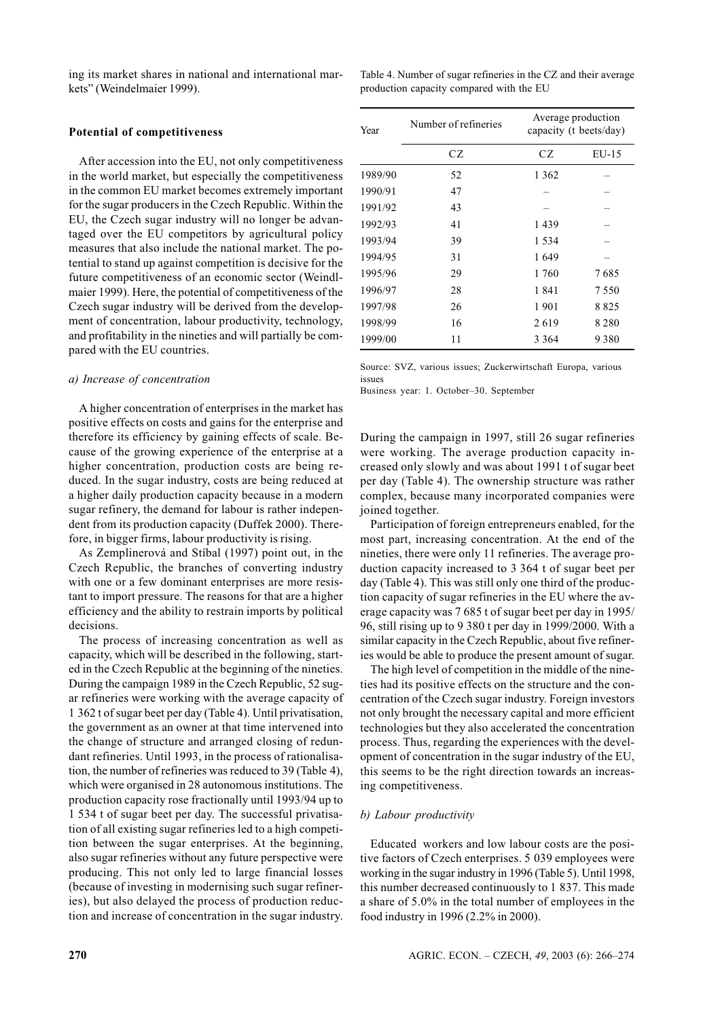ing its market shares in national and international markets" (Weindelmaier 1999).

Table 4. Number of sugar refineries in the CZ and their average production capacity compared with the EU

# **Potential of competitiveness**

After accession into the EU, not only competitiveness in the world market, but especially the competitiveness in the common EU market becomes extremely important for the sugar producers in the Czech Republic. Within the EU, the Czech sugar industry will no longer be advantaged over the EU competitors by agricultural policy measures that also include the national market. The potential to stand up against competition is decisive for the future competitiveness of an economic sector (Weindlmaier 1999). Here, the potential of competitiveness of the Czech sugar industry will be derived from the development of concentration, labour productivity, technology, and profitability in the nineties and will partially be compared with the EU countries.

#### a) Increase of concentration

A higher concentration of enterprises in the market has positive effects on costs and gains for the enterprise and therefore its efficiency by gaining effects of scale. Because of the growing experience of the enterprise at a higher concentration, production costs are being reduced. In the sugar industry, costs are being reduced at a higher daily production capacity because in a modern sugar refinery, the demand for labour is rather independent from its production capacity (Duffek 2000). Therefore, in bigger firms, labour productivity is rising.

As Zemplinerová and Stíbal (1997) point out, in the Czech Republic, the branches of converting industry with one or a few dominant enterprises are more resistant to import pressure. The reasons for that are a higher efficiency and the ability to restrain imports by political decisions.

The process of increasing concentration as well as capacity, which will be described in the following, started in the Czech Republic at the beginning of the nineties. During the campaign 1989 in the Czech Republic, 52 sugar refineries were working with the average capacity of 1 362 t of sugar beet per day (Table 4). Until privatisation, the government as an owner at that time intervened into the change of structure and arranged closing of redundant refineries. Until 1993, in the process of rationalisation, the number of refineries was reduced to 39 (Table 4), which were organised in 28 autonomous institutions. The production capacity rose fractionally until 1993/94 up to 1 534 t of sugar beet per day. The successful privatisation of all existing sugar refineries led to a high competition between the sugar enterprises. At the beginning, also sugar refineries without any future perspective were producing. This not only led to large financial losses (because of investing in modernising such sugar refineries), but also delayed the process of production reduction and increase of concentration in the sugar industry.

| Year    | Number of refineries | Average production<br>capacity (t beets/day) |         |  |
|---------|----------------------|----------------------------------------------|---------|--|
|         | CZ                   | CZ.                                          | EU-15   |  |
| 1989/90 | 52                   | 1 3 6 2                                      |         |  |
| 1990/91 | 47                   |                                              |         |  |
| 1991/92 | 43                   |                                              |         |  |
| 1992/93 | 41                   | 1439                                         |         |  |
| 1993/94 | 39                   | 1 5 3 4                                      |         |  |
| 1994/95 | 31                   | 1649                                         |         |  |
| 1995/96 | 29                   | 1760                                         | 7685    |  |
| 1996/97 | 28                   | 1841                                         | 7550    |  |
| 1997/98 | 26                   | 1901                                         | 8825    |  |
| 1998/99 | 16                   | 2619                                         | 8 2 8 0 |  |
| 1999/00 | 11                   | 3 3 6 4                                      | 9380    |  |

Source: SVZ, various issues; Zuckerwirtschaft Europa, various issues

Business year: 1. October-30. September

During the campaign in 1997, still 26 sugar refineries were working. The average production capacity increased only slowly and was about 1991 t of sugar beet per day (Table 4). The ownership structure was rather complex, because many incorporated companies were joined together.

Participation of foreign entrepreneurs enabled, for the most part, increasing concentration. At the end of the nineties, there were only 11 refineries. The average production capacity increased to 3 364 t of sugar beet per day (Table 4). This was still only one third of the production capacity of sugar refineries in the EU where the average capacity was 7 685 t of sugar beet per day in 1995/ 96, still rising up to 9 380 t per day in 1999/2000. With a similar capacity in the Czech Republic, about five refineries would be able to produce the present amount of sugar.

The high level of competition in the middle of the nineties had its positive effects on the structure and the concentration of the Czech sugar industry. Foreign investors not only brought the necessary capital and more efficient technologies but they also accelerated the concentration process. Thus, regarding the experiences with the development of concentration in the sugar industry of the EU. this seems to be the right direction towards an increasing competitiveness.

#### b) Labour productivity

Educated workers and low labour costs are the positive factors of Czech enterprises. 5 039 employees were working in the sugar industry in 1996 (Table 5). Until 1998, this number decreased continuously to 1 837. This made a share of 5.0% in the total number of employees in the food industry in 1996 (2.2% in 2000).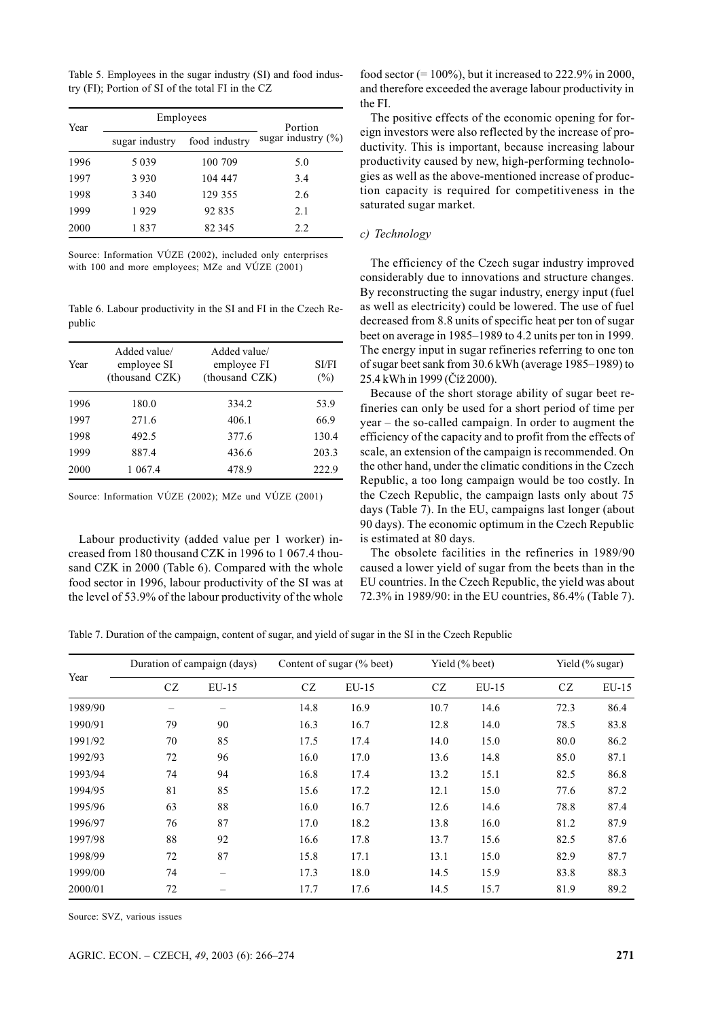Table 5. Employees in the sugar industry (SI) and food industry (FI); Portion of SI of the total FI in the CZ

| Year | Employees      | Portion       |                        |
|------|----------------|---------------|------------------------|
|      | sugar industry | food industry | sugar industry $(\% )$ |
| 1996 | 5039           | 100 709       | 5.0                    |
| 1997 | 3930           | 104 447       | 3.4                    |
| 1998 | 3 3 4 0        | 129 355       | 2.6                    |
| 1999 | 1929           | 92835         | 2.1                    |
| 2000 | 1837           | 82 345        | 2.2                    |

Source: Information VÚZE (2002), included only enterprises with 100 and more employees; MZe and  $VUZE$  (2001)

Table 6. Labour productivity in the SI and FI in the Czech Republic

| Year | Added value/<br>employee SI<br>(thousand CZK) | Added value/<br>employee FI<br>(thousand CZK) | SI/FI<br>$(\%)$ |
|------|-----------------------------------------------|-----------------------------------------------|-----------------|
| 1996 | 180.0                                         | 334.2                                         | 53.9            |
| 1997 | 271.6                                         | 406.1                                         | 66.9            |
| 1998 | 492.5                                         | 377.6                                         | 130.4           |
| 1999 | 887.4                                         | 436.6                                         | 203.3           |
| 2000 | 067.4                                         | 478.9                                         | 222.9           |

Source: Information VÚZE (2002); MZe und VÚZE (2001)

Labour productivity (added value per 1 worker) increased from 180 thousand CZK in 1996 to 1 067.4 thousand CZK in 2000 (Table 6). Compared with the whole food sector in 1996, labour productivity of the SI was at the level of 53.9% of the labour productivity of the whole food sector  $(= 100\%)$ , but it increased to 222.9% in 2000, and therefore exceeded the average labour productivity in the FL

The positive effects of the economic opening for foreign investors were also reflected by the increase of productivity. This is important, because increasing labour productivity caused by new, high-performing technologies as well as the above-mentioned increase of production capacity is required for competitiveness in the saturated sugar market.

#### c) Technology

The efficiency of the Czech sugar industry improved considerably due to innovations and structure changes. By reconstructing the sugar industry, energy input (fuel) as well as electricity) could be lowered. The use of fuel decreased from 8.8 units of specific heat per ton of sugar beet on average in 1985–1989 to 4.2 units per ton in 1999. The energy input in sugar refineries referring to one ton of sugar beet sank from 30.6 kWh (average 1985–1989) to 25.4 kWh in 1999 (Číž 2000).

Because of the short storage ability of sugar beet refineries can only be used for a short period of time per year – the so-called campaign. In order to augment the efficiency of the capacity and to profit from the effects of scale, an extension of the campaign is recommended. On the other hand, under the climatic conditions in the Czech Republic, a too long campaign would be too costly. In the Czech Republic, the campaign lasts only about 75 days (Table 7). In the EU, campaigns last longer (about 90 days). The economic optimum in the Czech Republic is estimated at 80 days.

The obsolete facilities in the refineries in 1989/90 caused a lower yield of sugar from the beets than in the EU countries. In the Czech Republic, the yield was about 72.3% in 1989/90: in the EU countries, 86.4% (Table 7).

Table 7. Duration of the campaign, content of sugar, and yield of sugar in the SI in the Czech Republic

|         | Duration of campaign (days) |                          | Content of sugar (% beet) |         |      | Yield (% beet) |      | Yield (% sugar) |  |
|---------|-----------------------------|--------------------------|---------------------------|---------|------|----------------|------|-----------------|--|
| Year    | CZ                          | $EU-15$                  | CZ                        | $EU-15$ | CZ   | $EU-15$        | CZ   | $EU-15$         |  |
| 1989/90 |                             | —                        | 14.8                      | 16.9    | 10.7 | 14.6           | 72.3 | 86.4            |  |
| 1990/91 | 79                          | 90                       | 16.3                      | 16.7    | 12.8 | 14.0           | 78.5 | 83.8            |  |
| 1991/92 | 70                          | 85                       | 17.5                      | 17.4    | 14.0 | 15.0           | 80.0 | 86.2            |  |
| 1992/93 | 72                          | 96                       | 16.0                      | 17.0    | 13.6 | 14.8           | 85.0 | 87.1            |  |
| 1993/94 | 74                          | 94                       | 16.8                      | 17.4    | 13.2 | 15.1           | 82.5 | 86.8            |  |
| 1994/95 | 81                          | 85                       | 15.6                      | 17.2    | 12.1 | 15.0           | 77.6 | 87.2            |  |
| 1995/96 | 63                          | 88                       | 16.0                      | 16.7    | 12.6 | 14.6           | 78.8 | 87.4            |  |
| 1996/97 | 76                          | 87                       | 17.0                      | 18.2    | 13.8 | 16.0           | 81.2 | 87.9            |  |
| 1997/98 | 88                          | 92                       | 16.6                      | 17.8    | 13.7 | 15.6           | 82.5 | 87.6            |  |
| 1998/99 | 72                          | 87                       | 15.8                      | 17.1    | 13.1 | 15.0           | 82.9 | 87.7            |  |
| 1999/00 | 74                          | $\overline{\phantom{0}}$ | 17.3                      | 18.0    | 14.5 | 15.9           | 83.8 | 88.3            |  |
| 2000/01 | 72                          |                          | 17.7                      | 17.6    | 14.5 | 15.7           | 81.9 | 89.2            |  |

Source: SVZ, various issues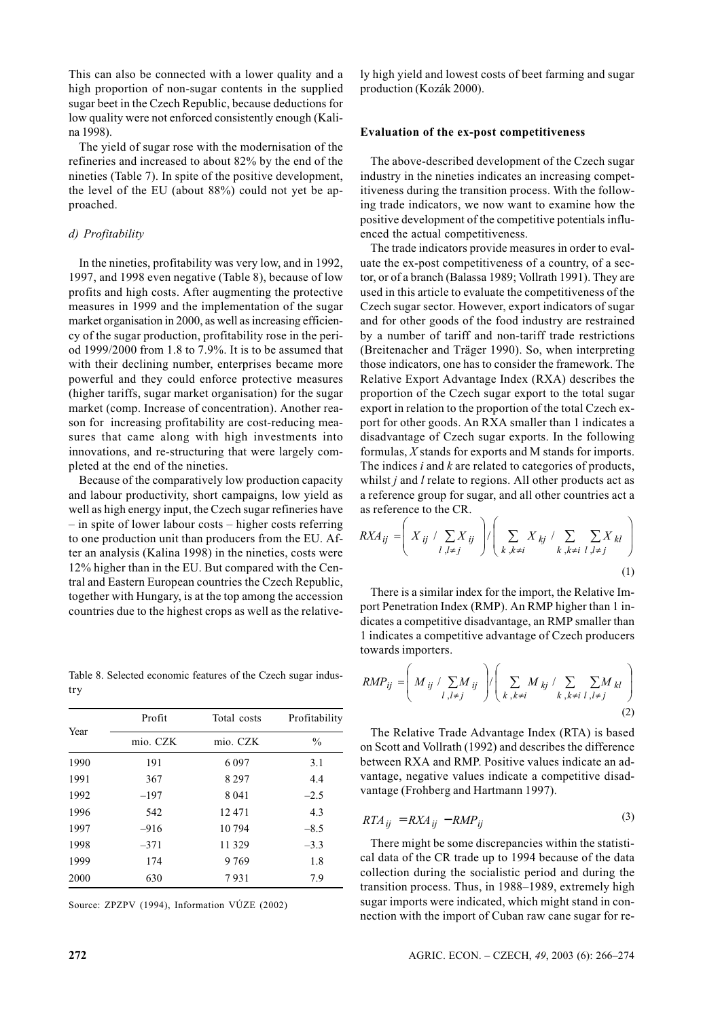This can also be connected with a lower quality and a high proportion of non-sugar contents in the supplied sugar beet in the Czech Republic, because deductions for low quality were not enforced consistently enough (Kalina 1998).

The yield of sugar rose with the modernisation of the refineries and increased to about 82% by the end of the nineties (Table 7). In spite of the positive development, the level of the EU (about 88%) could not yet be approached.

#### d) Profitability

In the nineties, profitability was very low, and in 1992, 1997, and 1998 even negative (Table 8), because of low profits and high costs. After augmenting the protective measures in 1999 and the implementation of the sugar market organisation in 2000, as well as increasing efficiency of the sugar production, profitability rose in the period 1999/2000 from 1.8 to 7.9%. It is to be assumed that with their declining number, enterprises became more powerful and they could enforce protective measures (higher tariffs, sugar market organisation) for the sugar market (comp. Increase of concentration). Another reason for increasing profitability are cost-reducing measures that came along with high investments into innovations, and re-structuring that were largely completed at the end of the nineties.

Because of the comparatively low production capacity and labour productivity, short campaigns, low yield as well as high energy input, the Czech sugar refineries have  $-$  in spite of lower labour costs  $-$  higher costs referring to one production unit than producers from the EU. After an analysis (Kalina 1998) in the nineties, costs were 12% higher than in the EU. But compared with the Central and Eastern European countries the Czech Republic, together with Hungary, is at the top among the accession countries due to the highest crops as well as the relative-

Table 8. Selected economic features of the Czech sugar industry

|      | Profit   | Total costs | Profitability |  |
|------|----------|-------------|---------------|--|
| Year | mio. CZK | mio. CZK    | $\frac{0}{0}$ |  |
| 1990 | 191      | 6097        | 3.1           |  |
| 1991 | 367      | 8 2 9 7     | 4.4           |  |
| 1992 | $-197$   | 8 0 4 1     | $-2.5$        |  |
| 1996 | 542      | 12471       | 4.3           |  |
| 1997 | $-916$   | 10 794      | $-8.5$        |  |
| 1998 | $-371$   | 11 329      | $-3.3$        |  |
| 1999 | 174      | 9769        | 1.8           |  |
| 2000 | 630      | 7931        | 7.9           |  |

Source: ZPZPV (1994), Information VÚZE (2002)

ly high yield and lowest costs of beet farming and sugar production (Kozák 2000).

#### **Evaluation of the ex-post competitiveness**

The above-described development of the Czech sugar industry in the nineties indicates an increasing competitiveness during the transition process. With the following trade indicators, we now want to examine how the positive development of the competitive potentials influenced the actual competitiveness.

The trade indicators provide measures in order to evaluate the ex-post competitiveness of a country, of a sector, or of a branch (Balassa 1989; Vollrath 1991). They are used in this article to evaluate the competitiveness of the Czech sugar sector. However, export indicators of sugar and for other goods of the food industry are restrained by a number of tariff and non-tariff trade restrictions (Breitenacher and Träger 1990). So, when interpreting those indicators, one has to consider the framework. The Relative Export Advantage Index (RXA) describes the proportion of the Czech sugar export to the total sugar export in relation to the proportion of the total Czech export for other goods. An RXA smaller than 1 indicates a disadvantage of Czech sugar exports. In the following formulas, *X* stands for exports and M stands for imports. The indices  $i$  and  $k$  are related to categories of products, whilst  $j$  and  $l$  relate to regions. All other products act as a reference group for sugar, and all other countries act a as reference to the CR.

$$
RXA_{ij} = \left(X_{ij} / \sum_{l,l \neq j} X_{ij}\right) / \left(\sum_{k,k \neq i} X_{kj} / \sum_{k,k \neq i} \sum_{l,l \neq j} X_{kl}\right)
$$
\n(1)

There is a similar index for the import, the Relative Import Penetration Index (RMP). An RMP higher than 1 indicates a competitive disadvantage, an RMP smaller than 1 indicates a competitive advantage of Czech producers towards importers.

$$
RMP_{ij} = \left(M_{ij} / \sum_{l,l \neq j} M_{ij}\right) / \left(\sum_{k,k \neq i} M_{kj} / \sum_{k,k \neq i} \sum_{l,l \neq j} M_{kl}\right)
$$
\n(2)

The Relative Trade Advantage Index (RTA) is based on Scott and Vollrath (1992) and describes the difference between RXA and RMP. Positive values indicate an advantage, negative values indicate a competitive disadvantage (Frohberg and Hartmann 1997).

$$
RTA_{ii} = RXA_{ii} - RMP_{ii}
$$
\n<sup>(3)</sup>

There might be some discrepancies within the statistical data of the CR trade up to 1994 because of the data collection during the socialistic period and during the transition process. Thus, in 1988–1989, extremely high sugar imports were indicated, which might stand in connection with the import of Cuban raw cane sugar for re-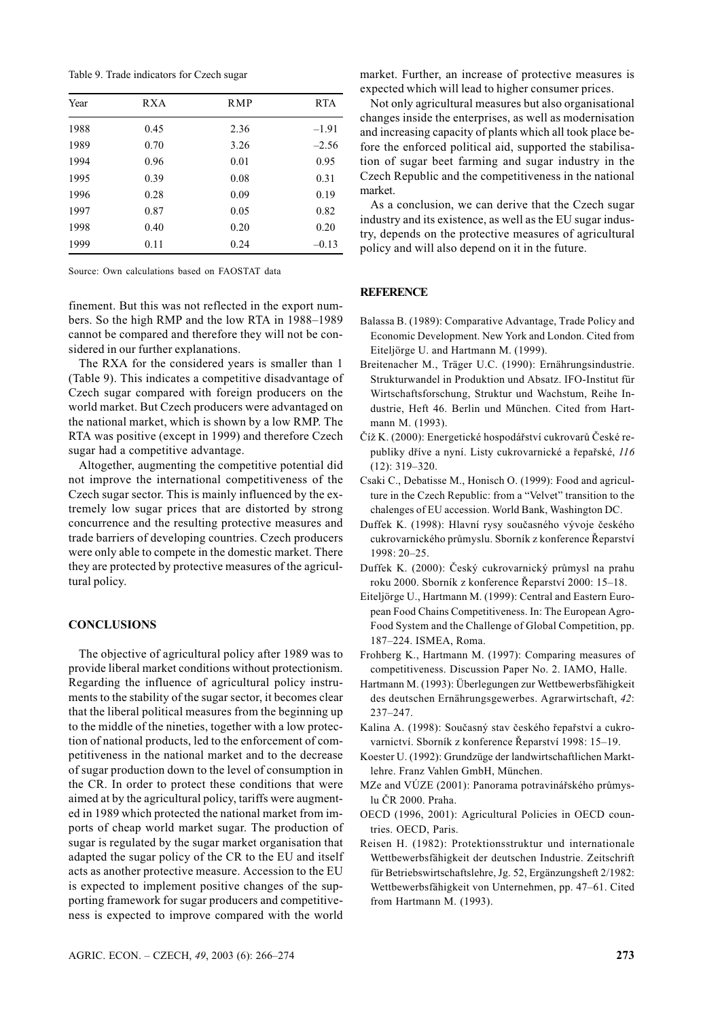Table 9. Trade indicators for Czech sugar

| Year | RXA  | <b>RMP</b> | <b>RTA</b> |
|------|------|------------|------------|
| 1988 | 0.45 | 2.36       | $-1.91$    |
| 1989 | 0.70 | 3.26       | $-2.56$    |
| 1994 | 0.96 | 0.01       | 0.95       |
| 1995 | 0.39 | 0.08       | 0.31       |
| 1996 | 0.28 | 0.09       | 0.19       |
| 1997 | 0.87 | 0.05       | 0.82       |
| 1998 | 0.40 | 0.20       | 0.20       |
| 1999 | 0.11 | 0.24       | $-0.13$    |

Source: Own calculations based on FAOSTAT data

finement. But this was not reflected in the export numbers. So the high RMP and the low RTA in 1988-1989 cannot be compared and therefore they will not be considered in our further explanations.

The RXA for the considered years is smaller than 1 (Table 9). This indicates a competitive disadvantage of Czech sugar compared with foreign producers on the world market. But Czech producers were advantaged on the national market, which is shown by a low RMP. The RTA was positive (except in 1999) and therefore Czech sugar had a competitive advantage.

Altogether, augmenting the competitive potential did not improve the international competitiveness of the Czech sugar sector. This is mainly influenced by the extremely low sugar prices that are distorted by strong concurrence and the resulting protective measures and trade barriers of developing countries. Czech producers were only able to compete in the domestic market. There they are protected by protective measures of the agricultural policy.

#### **CONCLUSIONS**

The objective of agricultural policy after 1989 was to provide liberal market conditions without protectionism. Regarding the influence of agricultural policy instruments to the stability of the sugar sector, it becomes clear that the liberal political measures from the beginning up to the middle of the nineties, together with a low protection of national products, led to the enforcement of competitiveness in the national market and to the decrease of sugar production down to the level of consumption in the CR. In order to protect these conditions that were aimed at by the agricultural policy, tariffs were augmented in 1989 which protected the national market from imports of cheap world market sugar. The production of sugar is regulated by the sugar market organisation that adapted the sugar policy of the CR to the EU and itself acts as another protective measure. Accession to the EU is expected to implement positive changes of the supporting framework for sugar producers and competitiveness is expected to improve compared with the world

market. Further, an increase of protective measures is expected which will lead to higher consumer prices.

Not only agricultural measures but also organisational changes inside the enterprises, as well as modernisation and increasing capacity of plants which all took place before the enforced political aid, supported the stabilisation of sugar beet farming and sugar industry in the Czech Republic and the competitiveness in the national market

As a conclusion, we can derive that the Czech sugar industry and its existence, as well as the EU sugar industry, depends on the protective measures of agricultural policy and will also depend on it in the future.

#### **REFERENCE**

- Balassa B. (1989): Comparative Advantage, Trade Policy and Economic Development. New York and London. Cited from Eiteljörge U. and Hartmann M. (1999).
- Breitenacher M., Träger U.C. (1990): Ernährungsindustrie. Strukturwandel in Produktion und Absatz. IFO-Institut für Wirtschaftsforschung, Struktur und Wachstum, Reihe Industrie. Heft 46. Berlin und München. Cited from Hartmann M. (1993).
- Číž K. (2000): Energetické hospodářství cukrovarů České republiky dříve a nyní. Listy cukrovarnické a řepařské, 116  $(12): 319 - 320.$
- Csaki C., Debatisse M., Honisch O. (1999): Food and agriculture in the Czech Republic: from a "Velvet" transition to the chalenges of EU accession. World Bank, Washington DC.
- Duffek K. (1998): Hlavní rysy současného vývoje českého cukrovarnického průmyslu. Sborník z konference Řeparství  $1998:20 - 25.$
- Duffek K. (2000): Český cukrovarnický průmysl na prahu roku 2000. Sborník z konference Řeparství 2000: 15–18.
- Eiteljörge U., Hartmann M. (1999): Central and Eastern European Food Chains Competitiveness. In: The European Agro-Food System and the Challenge of Global Competition, pp. 187-224. ISMEA, Roma.
- Frohberg K., Hartmann M. (1997): Comparing measures of competitiveness. Discussion Paper No. 2. IAMO, Halle.
- Hartmann M. (1993): Überlegungen zur Wettbewerbsfähigkeit des deutschen Ernährungsgewerbes. Agrarwirtschaft, 42:  $237 - 247$ .
- Kalina A. (1998): Současný stav českého řepařství a cukrovarnictví. Sborník z konference Řeparství 1998: 15–19.
- Koester U. (1992): Grundzüge der landwirtschaftlichen Marktlehre. Franz Vahlen GmbH, München.
- MZe and VÚZE (2001): Panorama potravinářského průmyslu ČR 2000. Praha.
- OECD (1996, 2001): Agricultural Policies in OECD countries. OECD, Paris.
- Reisen H. (1982): Protektionsstruktur und internationale Wettbewerbsfähigkeit der deutschen Industrie. Zeitschrift für Betriebswirtschaftslehre, Jg. 52, Ergänzungsheft 2/1982: Wettbewerbsfähigkeit von Unternehmen, pp. 47-61. Cited from Hartmann M. (1993).